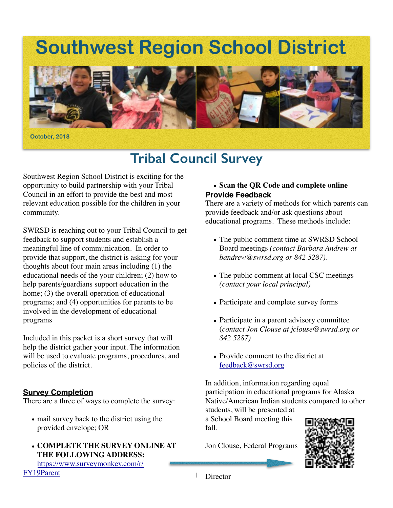# **Southwest Region School District**



# **Tribal Council Survey**

Southwest Region School District is exciting for the opportunity to build partnership with your Tribal Council in an effort to provide the best and most relevant education possible for the children in your community.

SWRSD is reaching out to your Tribal Council to get feedback to support students and establish a meaningful line of communication. In order to provide that support, the district is asking for your thoughts about four main areas including (1) the educational needs of the your children; (2) how to help parents/guardians support education in the home; (3) the overall operation of educational programs; and (4) opportunities for parents to be involved in the development of educational programs

Included in this packet is a short survey that will help the district gather your input. The information will be used to evaluate programs, procedures, and policies of the district.

# **Survey Completion**

There are a three of ways to complete the survey:

- mail survey back to the district using the provided envelope; OR
- **COMPLETE THE SURVEY ONLINE AT THE FOLLOWING ADDRESS:**

## [https://www.surveymonkey.com/r/](https://www.surveymonkey.com/r/FY19Parent) FY19Parent

# **• Scan the QR Code and complete online Provide Feedback**

There are a variety of methods for which parents can provide feedback and/or ask questions about educational programs. These methods include:

- The public comment time at SWRSD School Board meetings *(contact Barbara Andrew at bandrew@swrsd.org or 842 5287).*
- The public comment at local CSC meetings *(contact your local principal)*
- Participate and complete survey forms
- Participate in a parent advisory committee (*contact Jon Clouse at jclouse@swrsd.org or 842 5287)*
- Provide comment to the district at [feedback@swrsd.org](mailto:feedback@swrsd.org)

In addition, information regarding equal participation in educational programs for Alaska Native/American Indian students compared to other students, will be presented at

a School Board meeting this fall.

Jon Clouse, Federal Programs



1 **Director**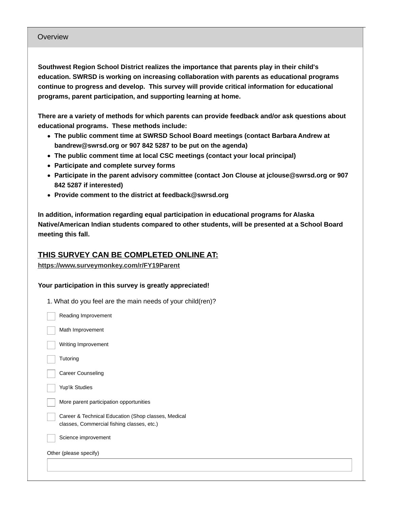#### Overview

**Southwest Region School District realizes the importance that parents play in their child's education. SWRSD is working on increasing collaboration with parents as educational programs continue to progress and develop. This survey will provide critical information for educational programs, parent participation, and supporting learning at home.**

**There are a variety of methods for which parents can provide feedback and/or ask questions about educational programs. These methods include:**

- **The public comment time at SWRSD School Board meetings (contact Barbara Andrew at bandrew@swrsd.org or 907 842 5287 to be put on the agenda)**
- **The public comment time at local CSC meetings (contact your local principal)**
- **Participate and complete survey forms**
- **Participate in the parent advisory committee (contact Jon Clouse at jclouse@swrsd.org or 907 842 5287 if interested)**
- **Provide comment to the district at feedback@swrsd.org**

**In addition, information regarding equal participation in educational programs for Alaska Native/American Indian students compared to other students, will be presented at a School Board meeting this fall.**

# **THIS SURVEY CAN BE COMPLETED ONLINE AT:**

### **<https://www.surveymonkey.com/r/FY19Parent>**

### **Your participation in this survey is greatly appreciated!**

| 1. What do you feel are the main needs of your child(ren)? |  |
|------------------------------------------------------------|--|
|                                                            |  |

| Reading Improvement                                                                               |
|---------------------------------------------------------------------------------------------------|
| Math Improvement                                                                                  |
| Writing Improvement                                                                               |
| Tutoring                                                                                          |
| <b>Career Counseling</b>                                                                          |
| Yup'ik Studies                                                                                    |
| More parent participation opportunities                                                           |
| Career & Technical Education (Shop classes, Medical<br>classes, Commercial fishing classes, etc.) |
| Science improvement                                                                               |
| Other (please specify)                                                                            |
|                                                                                                   |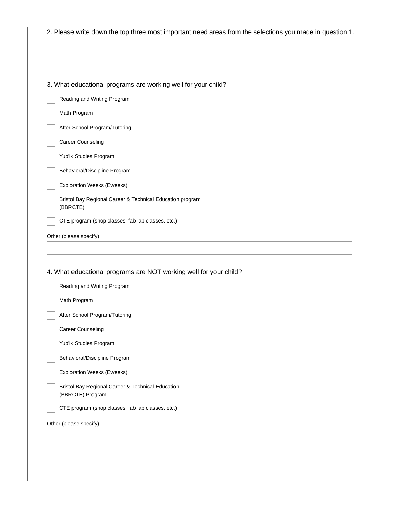| 3. What educational programs are working well for your child?         |
|-----------------------------------------------------------------------|
| Reading and Writing Program                                           |
| Math Program                                                          |
| After School Program/Tutoring                                         |
| Career Counseling                                                     |
| Yup'ik Studies Program                                                |
| Behavioral/Discipline Program                                         |
| <b>Exploration Weeks (Eweeks)</b>                                     |
| Bristol Bay Regional Career & Technical Education program<br>(BBRCTE) |
| CTE program (shop classes, fab lab classes, etc.)                     |
| Other (please specify)                                                |
|                                                                       |
|                                                                       |
| 4. What educational programs are NOT working well for your child?     |
| Reading and Writing Program                                           |
| Math Program                                                          |
| After School Program/Tutoring                                         |
| Career Counseling                                                     |
|                                                                       |
|                                                                       |
| Yup'ik Studies Program                                                |
| Behavioral/Discipline Program                                         |
| <b>Exploration Weeks (Eweeks)</b>                                     |
| Bristol Bay Regional Career & Technical Education<br>(BBRCTE) Program |
| CTE program (shop classes, fab lab classes, etc.)                     |
| Other (please specify)                                                |
|                                                                       |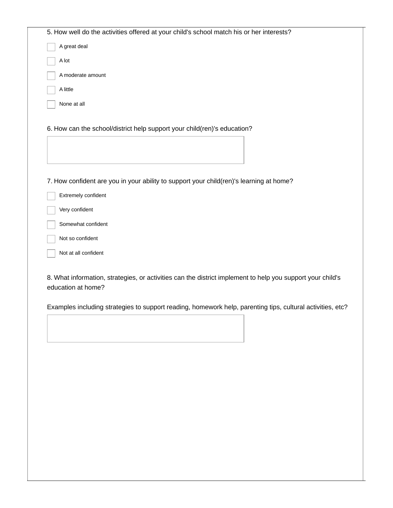|                      | 5. How well do the activities offered at your child's school match his or her interests?                   |
|----------------------|------------------------------------------------------------------------------------------------------------|
| A great deal         |                                                                                                            |
| A lot                |                                                                                                            |
| A moderate amount    |                                                                                                            |
| A little             |                                                                                                            |
| None at all          |                                                                                                            |
|                      | 6. How can the school/district help support your child(ren)'s education?                                   |
| Extremely confident  | 7. How confident are you in your ability to support your child(ren)'s learning at home?                    |
| Very confident       |                                                                                                            |
| Somewhat confident   |                                                                                                            |
| Not so confident     |                                                                                                            |
| Not at all confident |                                                                                                            |
| education at home?   | 8. What information, strategies, or activities can the district implement to help you support your child's |
|                      | Examples including strategies to support reading, homework help, parenting tips, cultural activities, etc? |
|                      |                                                                                                            |
|                      |                                                                                                            |
|                      |                                                                                                            |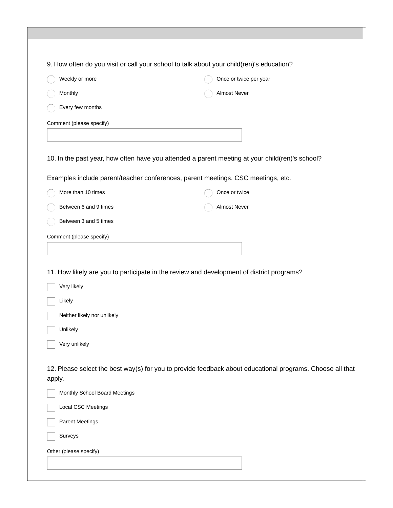|                               | 9. How often do you visit or call your school to talk about your child(ren)'s education?                  |  |
|-------------------------------|-----------------------------------------------------------------------------------------------------------|--|
| Weekly or more                | Once or twice per year                                                                                    |  |
| Monthly                       | Almost Never                                                                                              |  |
| Every few months              |                                                                                                           |  |
| Comment (please specify)      |                                                                                                           |  |
|                               |                                                                                                           |  |
|                               | 10. In the past year, how often have you attended a parent meeting at your child(ren)'s school?           |  |
|                               | Examples include parent/teacher conferences, parent meetings, CSC meetings, etc.                          |  |
| More than 10 times            | Once or twice                                                                                             |  |
| Between 6 and 9 times         | Almost Never                                                                                              |  |
| Between 3 and 5 times         |                                                                                                           |  |
|                               |                                                                                                           |  |
| Comment (please specify)      |                                                                                                           |  |
|                               |                                                                                                           |  |
|                               |                                                                                                           |  |
|                               | 11. How likely are you to participate in the review and development of district programs?                 |  |
| Very likely                   |                                                                                                           |  |
| Likely                        |                                                                                                           |  |
| Neither likely nor unlikely   |                                                                                                           |  |
| Unlikely                      |                                                                                                           |  |
| Very unlikely                 |                                                                                                           |  |
| apply.                        | 12. Please select the best way(s) for you to provide feedback about educational programs. Choose all that |  |
| Monthly School Board Meetings |                                                                                                           |  |
| Local CSC Meetings            |                                                                                                           |  |
| <b>Parent Meetings</b>        |                                                                                                           |  |
| Surveys                       |                                                                                                           |  |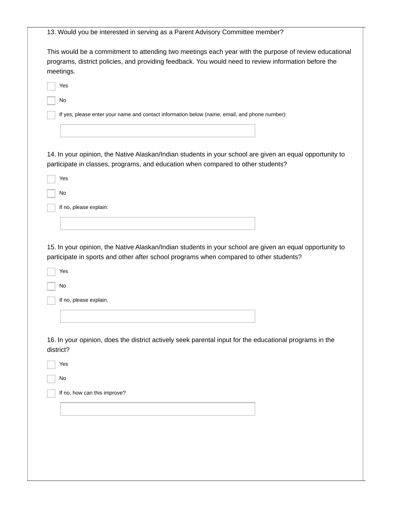|           | This would be a commitment to attending two meetings each year with the purpose of review educational<br>programs, district policies, and providing feedback. You would need to review information before the<br>meetings. |
|-----------|----------------------------------------------------------------------------------------------------------------------------------------------------------------------------------------------------------------------------|
|           | Yes                                                                                                                                                                                                                        |
|           | No                                                                                                                                                                                                                         |
|           | If yes, please enter your name and contact information below (name, email, and phone number):                                                                                                                              |
|           |                                                                                                                                                                                                                            |
|           |                                                                                                                                                                                                                            |
|           | 14. In your opinion, the Native Alaskan/Indian students in your school are given an equal opportunity to<br>participate in classes, programs, and education when compared to other students?                               |
|           | Yes                                                                                                                                                                                                                        |
|           | No                                                                                                                                                                                                                         |
|           | If no, please explain:                                                                                                                                                                                                     |
|           |                                                                                                                                                                                                                            |
|           |                                                                                                                                                                                                                            |
|           | Yes                                                                                                                                                                                                                        |
|           | No                                                                                                                                                                                                                         |
|           | If no, please explain.                                                                                                                                                                                                     |
|           |                                                                                                                                                                                                                            |
|           |                                                                                                                                                                                                                            |
|           | 16. In your opinion, does the district actively seek parental input for the educational programs in the                                                                                                                    |
|           | Yes                                                                                                                                                                                                                        |
|           | No                                                                                                                                                                                                                         |
|           | If no, how can this improve?                                                                                                                                                                                               |
|           |                                                                                                                                                                                                                            |
|           |                                                                                                                                                                                                                            |
|           |                                                                                                                                                                                                                            |
| district? |                                                                                                                                                                                                                            |